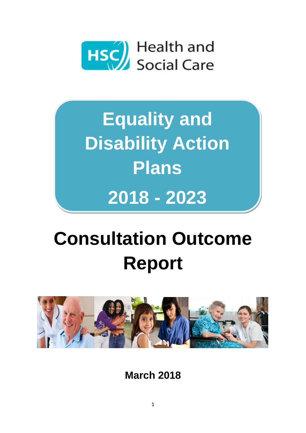

**Equality and Disability Action Plans 2018 - 2023**

# **Consultation Outcome Report**



**March 2018**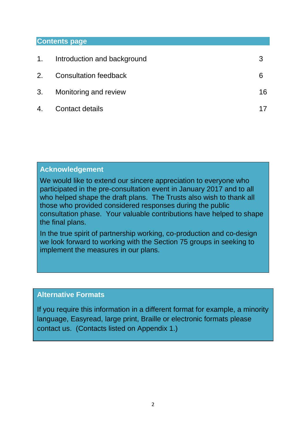#### **Contents page**

| Introduction and background  | 3  |
|------------------------------|----|
| <b>Consultation feedback</b> | 6  |
| 3. Monitoring and review     | 16 |
| Contact details              |    |
|                              |    |

#### **Acknowledgement**

We would like to extend our sincere appreciation to everyone who participated in the pre-consultation event in January 2017 and to all who helped shape the draft plans. The Trusts also wish to thank all those who provided considered responses during the public consultation phase. Your valuable contributions have helped to shape the final plans.

In the true spirit of partnership working, co-production and co-design we look forward to working with the Section 75 groups in seeking to implement the measures in our plans.

#### **Alternative Formats**

If you require this information in a different format for example, a minority language, Easyread, large print, Braille or electronic formats please contact us. (Contacts listed on Appendix 1.)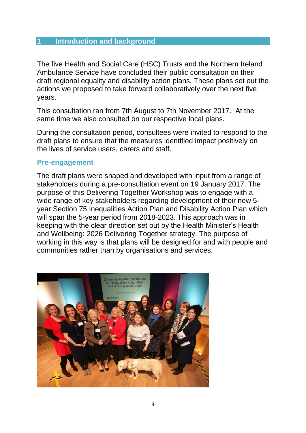#### **1 Introduction and background**

The five Health and Social Care (HSC) Trusts and the Northern Ireland Ambulance Service have concluded their public consultation on their draft regional equality and disability action plans. These plans set out the actions we proposed to take forward collaboratively over the next five years.

This consultation ran from 7th August to 7th November 2017. At the same time we also consulted on our respective local plans.

During the consultation period, consultees were invited to respond to the draft plans to ensure that the measures identified impact positively on the lives of service users, carers and staff.

#### **Pre-engagement**

The draft plans were shaped and developed with input from a range of stakeholders during a pre-consultation event on 19 January 2017. The purpose of this Delivering Together Workshop was to engage with a wide range of key stakeholders regarding development of their new 5 year Section 75 Inequalities Action Plan and Disability Action Plan which will span the 5-year period from 2018-2023. This approach was in keeping with the clear direction set out by the Health Minister's Health and Wellbeing: 2026 Delivering Together strategy. The purpose of working in this way is that plans will be designed for and with people and communities rather than by organisations and services.

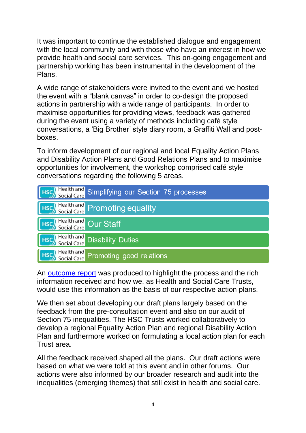It was important to continue the established dialogue and engagement with the local community and with those who have an interest in how we provide health and social care services. This on-going engagement and partnership working has been instrumental in the development of the Plans.

A wide range of stakeholders were invited to the event and we hosted the event with a "blank canvas" in order to co-design the proposed actions in partnership with a wide range of participants. In order to maximise opportunities for providing views, feedback was gathered during the event using a variety of methods including café style conversations, a 'Big Brother' style diary room, a Graffiti Wall and postboxes.

To inform development of our regional and local Equality Action Plans and Disability Action Plans and Good Relations Plans and to maximise opportunities for involvement, the workshop comprised café style conversations regarding the following 5 areas.

|                      | [Hsc] Health and Simplifying our Section 75 processes |
|----------------------|-------------------------------------------------------|
|                      | [Hsc] Health and Promoting equality                   |
| Health and Our Staff |                                                       |
|                      | [HSC] Health and Disability Duties                    |
|                      | [Hsc] Health and Promoting good relations             |

An [outcome report](https://consultations.nidirect.gov.uk/hscni-belfast-trust/equality-disability-plans/supporting_documents/Outcome%20report%207th%20march.pdf) was produced to highlight the process and the rich information received and how we, as Health and Social Care Trusts, would use this information as the basis of our respective action plans.

We then set about developing our draft plans largely based on the feedback from the pre-consultation event and also on our audit of Section 75 inequalities. The HSC Trusts worked collaboratively to develop a regional Equality Action Plan and regional Disability Action Plan and furthermore worked on formulating a local action plan for each Trust area.

All the feedback received shaped all the plans. Our draft actions were based on what we were told at this event and in other forums. Our actions were also informed by our broader research and audit into the inequalities (emerging themes) that still exist in health and social care.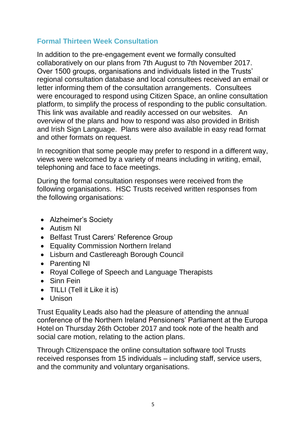## **Formal Thirteen Week Consultation**

In addition to the pre-engagement event we formally consulted collaboratively on our plans from 7th August to 7th November 2017. Over 1500 groups, organisations and individuals listed in the Trusts' regional consultation database and local consultees received an email or letter informing them of the consultation arrangements. Consultees were encouraged to respond using Citizen Space, an online consultation platform, to simplify the process of responding to the public consultation. This link was available and readily accessed on our websites. An overview of the plans and how to respond was also provided in British and Irish Sign Language. Plans were also available in easy read format and other formats on request.

In recognition that some people may prefer to respond in a different way, views were welcomed by a variety of means including in writing, email, telephoning and face to face meetings.

During the formal consultation responses were received from the following organisations. HSC Trusts received written responses from the following organisations:

- Alzheimer's Society
- Autism NI
- Belfast Trust Carers' Reference Group
- Equality Commission Northern Ireland
- Lisburn and Castlereagh Borough Council
- Parenting NI
- Royal College of Speech and Language Therapists
- Sinn Fein
- TILLI (Tell it Like it is)
- Unison

Trust Equality Leads also had the pleasure of attending the annual conference of the Northern Ireland Pensioners' Parliament at the Europa Hotel on Thursday 26th October 2017 and took note of the health and social care motion, relating to the action plans.

Through CItizenspace the online consultation software tool Trusts received responses from 15 individuals – including staff, service users, and the community and voluntary organisations.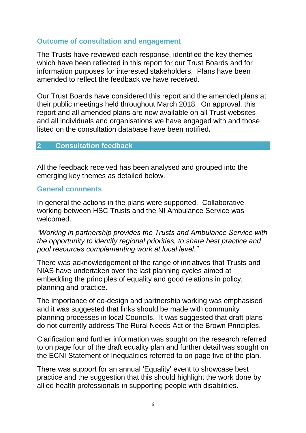#### **Outcome of consultation and engagement**

The Trusts have reviewed each response, identified the key themes which have been reflected in this report for our Trust Boards and for information purposes for interested stakeholders. Plans have been amended to reflect the feedback we have received.

Our Trust Boards have considered this report and the amended plans at their public meetings held throughout March 2018. On approval, this report and all amended plans are now available on all Trust websites and all individuals and organisations we have engaged with and those listed on the consultation database have been notified**.**

#### **2 Consultation feedback**

All the feedback received has been analysed and grouped into the emerging key themes as detailed below.

#### **General comments**

In general the actions in the plans were supported. Collaborative working between HSC Trusts and the NI Ambulance Service was welcomed.

*"Working in partnership provides the Trusts and Ambulance Service with the opportunity to identify regional priorities, to share best practice and pool resources complementing work at local level."*

There was acknowledgement of the range of initiatives that Trusts and NIAS have undertaken over the last planning cycles aimed at embedding the principles of equality and good relations in policy, planning and practice.

The importance of co-design and partnership working was emphasised and it was suggested that links should be made with community planning processes in local Councils. It was suggested that draft plans do not currently address The Rural Needs Act or the Brown Principles.

Clarification and further information was sought on the research referred to on page four of the draft equality plan and further detail was sought on the ECNI Statement of Inequalities referred to on page five of the plan.

There was support for an annual 'Equality' event to showcase best practice and the suggestion that this should highlight the work done by allied health professionals in supporting people with disabilities.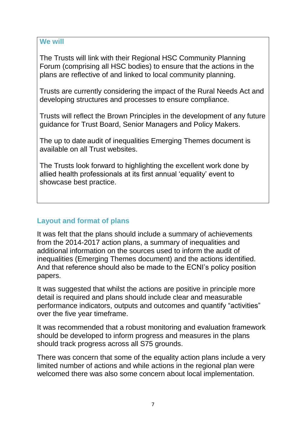The Trusts will link with their Regional HSC Community Planning Forum (comprising all HSC bodies) to ensure that the actions in the plans are reflective of and linked to local community planning.

Trusts are currently considering the impact of the Rural Needs Act and developing structures and processes to ensure compliance.

Trusts will reflect the Brown Principles in the development of any future guidance for Trust Board, Senior Managers and Policy Makers.

The up to date audit of inequalities Emerging Themes document is available on all Trust websites.

The Trusts look forward to highlighting the excellent work done by allied health professionals at its first annual 'equality' event to showcase best practice.

## **Layout and format of plans**

It was felt that the plans should include a summary of achievements from the 2014-2017 action plans, a summary of inequalities and additional information on the sources used to inform the audit of inequalities (Emerging Themes document) and the actions identified. And that reference should also be made to the ECNI's policy position papers.

It was suggested that whilst the actions are positive in principle more detail is required and plans should include clear and measurable performance indicators, outputs and outcomes and quantify "activities" over the five year timeframe.

It was recommended that a robust monitoring and evaluation framework should be developed to inform progress and measures in the plans should track progress across all S75 grounds.

There was concern that some of the equality action plans include a very limited number of actions and while actions in the regional plan were welcomed there was also some concern about local implementation.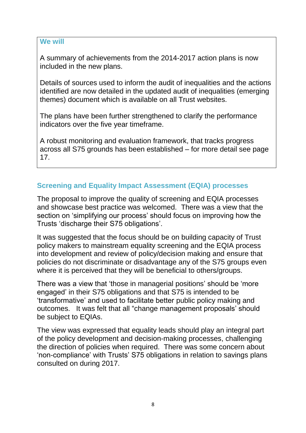A summary of achievements from the 2014-2017 action plans is now included in the new plans.

Details of sources used to inform the audit of inequalities and the actions identified are now detailed in the updated audit of inequalities (emerging themes) document which is available on all Trust websites.

The plans have been further strengthened to clarify the performance indicators over the five year timeframe.

A robust monitoring and evaluation framework, that tracks progress across all S75 grounds has been established – for more detail see page 17.

## **Screening and Equality Impact Assessment (EQIA) processes**

The proposal to improve the quality of screening and EQIA processes and showcase best practice was welcomed. There was a view that the section on 'simplifying our process' should focus on improving how the Trusts 'discharge their S75 obligations'.

It was suggested that the focus should be on building capacity of Trust policy makers to mainstream equality screening and the EQIA process into development and review of policy/decision making and ensure that policies do not discriminate or disadvantage any of the S75 groups even where it is perceived that they will be beneficial to others/groups.

There was a view that 'those in managerial positions' should be 'more engaged' in their S75 obligations and that S75 is intended to be 'transformative' and used to facilitate better public policy making and outcomes. It was felt that all "change management proposals' should be subject to EQIAs.

The view was expressed that equality leads should play an integral part of the policy development and decision-making processes, challenging the direction of policies when required. There was some concern about 'non-compliance' with Trusts' S75 obligations in relation to savings plans consulted on during 2017.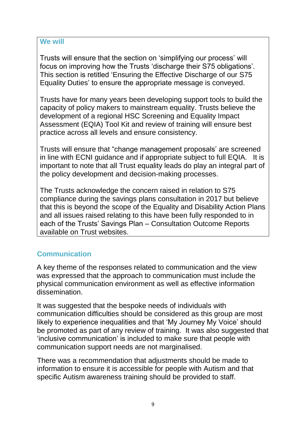Trusts will ensure that the section on 'simplifying our process' will focus on improving how the Trusts 'discharge their S75 obligations'. This section is retitled 'Ensuring the Effective Discharge of our S75 Equality Duties' to ensure the appropriate message is conveyed.

Trusts have for many years been developing support tools to build the capacity of policy makers to mainstream equality. Trusts believe the development of a regional HSC Screening and Equality Impact Assessment (EQIA) Tool Kit and review of training will ensure best practice across all levels and ensure consistency.

Trusts will ensure that "change management proposals' are screened in line with ECNI guidance and if appropriate subject to full EQIA. It is important to note that all Trust equality leads do play an integral part of the policy development and decision-making processes.

The Trusts acknowledge the concern raised in relation to S75 compliance during the savings plans consultation in 2017 but believe that this is beyond the scope of the Equality and Disability Action Plans and all issues raised relating to this have been fully responded to in each of the Trusts' Savings Plan – Consultation Outcome Reports available on Trust websites.

## **Communication**

A key theme of the responses related to communication and the view was expressed that the approach to communication must include the physical communication environment as well as effective information dissemination.

It was suggested that the bespoke needs of individuals with communication difficulties should be considered as this group are most likely to experience inequalities and that 'My Journey My Voice' should be promoted as part of any review of training. It was also suggested that 'inclusive communication' is included to make sure that people with communication support needs are not marginalised.

There was a recommendation that adjustments should be made to information to ensure it is accessible for people with Autism and that specific Autism awareness training should be provided to staff.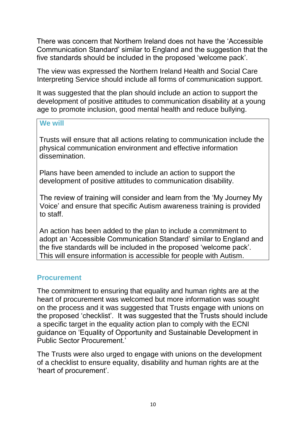There was concern that Northern Ireland does not have the 'Accessible Communication Standard' similar to England and the suggestion that the five standards should be included in the proposed 'welcome pack'.

The view was expressed the Northern Ireland Health and Social Care Interpreting Service should include all forms of communication support.

It was suggested that the plan should include an action to support the development of positive attitudes to communication disability at a young age to promote inclusion, good mental health and reduce bullying.

#### **We will**

Trusts will ensure that all actions relating to communication include the physical communication environment and effective information dissemination.

Plans have been amended to include an action to support the development of positive attitudes to communication disability.

The review of training will consider and learn from the 'My Journey My Voice' and ensure that specific Autism awareness training is provided to staff.

An action has been added to the plan to include a commitment to adopt an 'Accessible Communication Standard' similar to England and the five standards will be included in the proposed 'welcome pack'. This will ensure information is accessible for people with Autism.

#### **Procurement**

The commitment to ensuring that equality and human rights are at the heart of procurement was welcomed but more information was sought on the process and it was suggested that Trusts engage with unions on the proposed 'checklist'. It was suggested that the Trusts should include a specific target in the equality action plan to comply with the ECNI guidance on 'Equality of Opportunity and Sustainable Development in Public Sector Procurement.'

The Trusts were also urged to engage with unions on the development of a checklist to ensure equality, disability and human rights are at the 'heart of procurement'.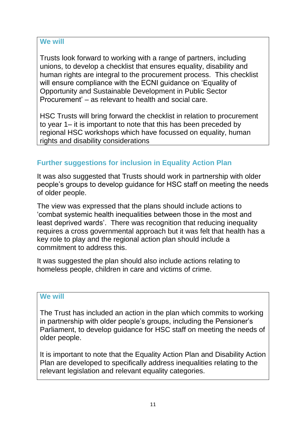Trusts look forward to working with a range of partners, including unions, to develop a checklist that ensures equality, disability and human rights are integral to the procurement process. This checklist will ensure compliance with the ECNI guidance on 'Equality of Opportunity and Sustainable Development in Public Sector Procurement' – as relevant to health and social care.

HSC Trusts will bring forward the checklist in relation to procurement to year 1– it is important to note that this has been preceded by regional HSC workshops which have focussed on equality, human rights and disability considerations

## **Further suggestions for inclusion in Equality Action Plan**

It was also suggested that Trusts should work in partnership with older people's groups to develop guidance for HSC staff on meeting the needs of older people.

The view was expressed that the plans should include actions to 'combat systemic health inequalities between those in the most and least deprived wards'. There was recognition that reducing inequality requires a cross governmental approach but it was felt that health has a key role to play and the regional action plan should include a commitment to address this.

It was suggested the plan should also include actions relating to homeless people, children in care and victims of crime.

#### **We will**

The Trust has included an action in the plan which commits to working in partnership with older people's groups, including the Pensioner's Parliament, to develop guidance for HSC staff on meeting the needs of older people.

It is important to note that the Equality Action Plan and Disability Action Plan are developed to specifically address inequalities relating to the relevant legislation and relevant equality categories.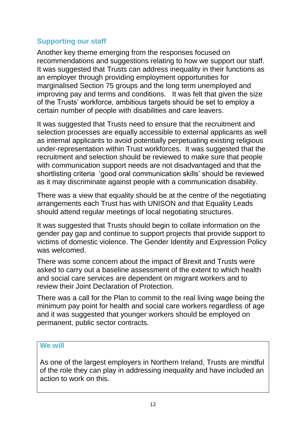## **Supporting our staff**

Another key theme emerging from the responses focused on recommendations and suggestions relating to how we support our staff. It was suggested that Trusts can address inequality in their functions as an employer through providing employment opportunities for marginalised Section 75 groups and the long term unemployed and improving pay and terms and conditions. It was felt that given the size of the Trusts' workforce, ambitious targets should be set to employ a certain number of people with disabilities and care leavers.

It was suggested that Trusts need to ensure that the recruitment and selection processes are equally accessible to external applicants as well as internal applicants to avoid potentially perpetuating existing religious under-representation within Trust workforces. It was suggested that the recruitment and selection should be reviewed to make sure that people with communication support needs are not disadvantaged and that the shortlisting criteria 'good oral communication skills' should be reviewed as it may discriminate against people with a communication disability.

There was a view that equality should be at the centre of the negotiating arrangements each Trust has with UNISON and that Equality Leads should attend regular meetings of local negotiating structures.

It was suggested that Trusts should begin to collate information on the gender pay gap and continue to support projects that provide support to victims of domestic violence. The Gender Identity and Expression Policy was welcomed.

There was some concern about the impact of Brexit and Trusts were asked to carry out a baseline assessment of the extent to which health and social care services are dependent on migrant workers and to review their Joint Declaration of Protection.

There was a call for the Plan to commit to the real living wage being the minimum pay point for health and social care workers regardless of age and it was suggested that younger workers should be employed on permanent, public sector contracts.

#### **We will**

As one of the largest employers in Northern Ireland, Trusts are mindful of the role they can play in addressing inequality and have included an action to work on this.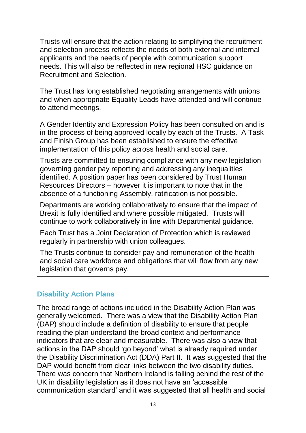Trusts will ensure that the action relating to simplifying the recruitment and selection process reflects the needs of both external and internal applicants and the needs of people with communication support needs. This will also be reflected in new regional HSC guidance on Recruitment and Selection.

The Trust has long established negotiating arrangements with unions and when appropriate Equality Leads have attended and will continue to attend meetings.

A Gender Identity and Expression Policy has been consulted on and is in the process of being approved locally by each of the Trusts. A Task and Finish Group has been established to ensure the effective implementation of this policy across health and social care.

Trusts are committed to ensuring compliance with any new legislation governing gender pay reporting and addressing any inequalities identified. A position paper has been considered by Trust Human Resources Directors – however it is important to note that in the absence of a functioning Assembly, ratification is not possible.

Departments are working collaboratively to ensure that the impact of Brexit is fully identified and where possible mitigated. Trusts will continue to work collaboratively in line with Departmental guidance.

Each Trust has a Joint Declaration of Protection which is reviewed regularly in partnership with union colleagues.

The Trusts continue to consider pay and remuneration of the health and social care workforce and obligations that will flow from any new legislation that governs pay.

## **Disability Action Plans**

The broad range of actions included in the Disability Action Plan was generally welcomed. There was a view that the Disability Action Plan (DAP) should include a definition of disability to ensure that people reading the plan understand the broad context and performance indicators that are clear and measurable. There was also a view that actions in the DAP should 'go beyond' what is already required under the Disability Discrimination Act (DDA) Part II. It was suggested that the DAP would benefit from clear links between the two disability duties. There was concern that Northern Ireland is falling behind the rest of the UK in disability legislation as it does not have an 'accessible communication standard' and it was suggested that all health and social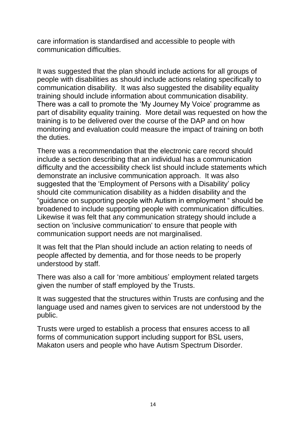care information is standardised and accessible to people with communication difficulties.

It was suggested that the plan should include actions for all groups of people with disabilities as should include actions relating specifically to communication disability. It was also suggested the disability equality training should include information about communication disability. There was a call to promote the 'My Journey My Voice' programme as part of disability equality training. More detail was requested on how the training is to be delivered over the course of the DAP and on how monitoring and evaluation could measure the impact of training on both the duties.

There was a recommendation that the electronic care record should include a section describing that an individual has a communication difficulty and the accessibility check list should include statements which demonstrate an inclusive communication approach. It was also suggested that the 'Employment of Persons with a Disability' policy should cite communication disability as a hidden disability and the "guidance on supporting people with Autism in employment " should be broadened to include supporting people with communication difficulties. Likewise it was felt that any communication strategy should include a section on 'inclusive communication' to ensure that people with communication support needs are not marginalised.

It was felt that the Plan should include an action relating to needs of people affected by dementia, and for those needs to be properly understood by staff.

There was also a call for 'more ambitious' employment related targets given the number of staff employed by the Trusts.

It was suggested that the structures within Trusts are confusing and the language used and names given to services are not understood by the public.

Trusts were urged to establish a process that ensures access to all forms of communication support including support for BSL users, Makaton users and people who have Autism Spectrum Disorder.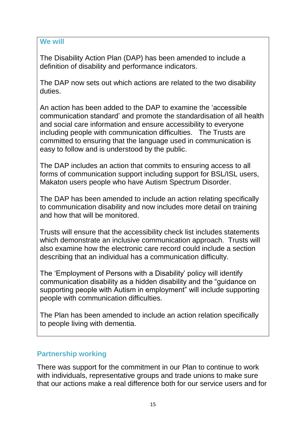The Disability Action Plan (DAP) has been amended to include a definition of disability and performance indicators.

The DAP now sets out which actions are related to the two disability duties.

An action has been added to the DAP to examine the 'accessible communication standard' and promote the standardisation of all health and social care information and ensure accessibility to everyone including people with communication difficulties. The Trusts are committed to ensuring that the language used in communication is easy to follow and is understood by the public.

The DAP includes an action that commits to ensuring access to all forms of communication support including support for BSL/ISL users, Makaton users people who have Autism Spectrum Disorder.

The DAP has been amended to include an action relating specifically to communication disability and now includes more detail on training and how that will be monitored.

Trusts will ensure that the accessibility check list includes statements which demonstrate an inclusive communication approach. Trusts will also examine how the electronic care record could include a section describing that an individual has a communication difficulty.

The 'Employment of Persons with a Disability' policy will identify communication disability as a hidden disability and the "guidance on supporting people with Autism in employment" will include supporting people with communication difficulties.

The Plan has been amended to include an action relation specifically to people living with dementia.

## **Partnership working**

There was support for the commitment in our Plan to continue to work with individuals, representative groups and trade unions to make sure that our actions make a real difference both for our service users and for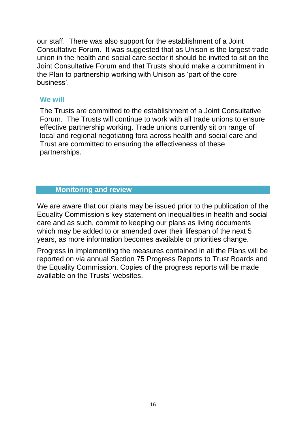our staff. There was also support for the establishment of a Joint Consultative Forum. It was suggested that as Unison is the largest trade union in the health and social care sector it should be invited to sit on the Joint Consultative Forum and that Trusts should make a commitment in the Plan to partnership working with Unison as 'part of the core business'.

#### **We will**

The Trusts are committed to the establishment of a Joint Consultative Forum. The Trusts will continue to work with all trade unions to ensure effective partnership working. Trade unions currently sit on range of local and regional negotiating fora across health and social care and Trust are committed to ensuring the effectiveness of these partnerships.

## **Monitoring and review**

We are aware that our plans may be issued prior to the publication of the Equality Commission's key statement on inequalities in health and social care and as such, commit to keeping our plans as living documents which may be added to or amended over their lifespan of the next 5 years, as more information becomes available or priorities change.

Progress in implementing the measures contained in all the Plans will be reported on via annual Section 75 Progress Reports to Trust Boards and the Equality Commission. Copies of the progress reports will be made available on the Trusts' websites.